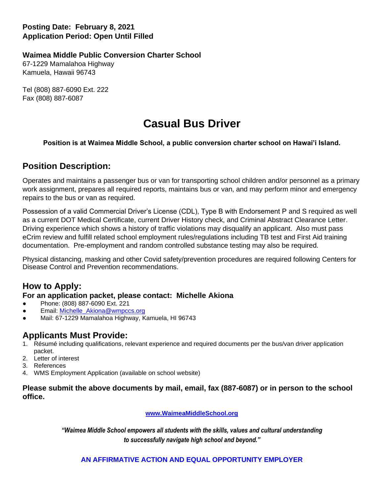# **Posting Date: February 8, 2021 Application Period: Open Until Filled**

#### **Waimea Middle Public Conversion Charter School**

67-1229 Mamalahoa Highway Kamuela, Hawaii 96743

Tel (808) 887-6090 Ext. 222 Fax (808) 887-6087

# **Casual Bus Driver**

#### **Position is at Waimea Middle School, a public conversion charter school on Hawai'i Island.**

# **Position Description:**

Operates and maintains a passenger bus or van for transporting school children and/or personnel as a primary work assignment, prepares all required reports, maintains bus or van, and may perform minor and emergency repairs to the bus or van as required.

Possession of a valid Commercial Driver's License (CDL), Type B with Endorsement P and S required as well as a current DOT Medical Certificate, current Driver History check, and Criminal Abstract Clearance Letter. Driving experience which shows a history of traffic violations may disqualify an applicant. Also must pass eCrim review and fulfill related school employment rules/regulations including TB test and First Aid training documentation. Pre-employment and random controlled substance testing may also be required.

Physical distancing, masking and other Covid safety/prevention procedures are required following Centers for Disease Control and Prevention recommendations.

# **How to Apply:**

#### **For an application packet, please contact: Michelle Akiona**

- Phone: (808) 887-6090 Ext. 221
- Email: Michelle Akiona@wmpccs.org
- Mail: 67-1229 Mamalahoa Highway, Kamuela, HI 96743

# **Applicants Must Provide:**

- 1. Résumé including qualifications, relevant experience and required documents per the bus/van driver application packet.
- 2. Letter of interest
- 3. References
- 4. WMS Employment Application (available on school website)

**Please submit the above documents by mail, email, fax (887-6087) or in person to the school office.** 

**[www.WaimeaMiddleSchool.org](http://www.waimeamiddleschool.org/)**

*"Waimea Middle School empowers all students with the skills, values and cultural understanding to successfully navigate high school and beyond."* 

## **AN AFFIRMATIVE ACTION AND EQUAL OPPORTUNITY EMPLOYER**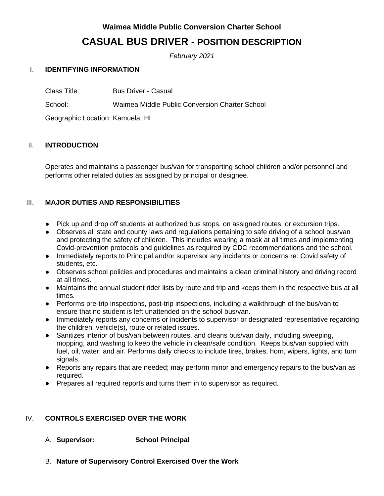# **Waimea Middle Public Conversion Charter School**

# **CASUAL BUS DRIVER - POSITION DESCRIPTION**

*February 2021*

## I. **IDENTIFYING INFORMATION**

Class Title: Bus Driver - Casual

School: Waimea Middle Public Conversion Charter School

Geographic Location: Kamuela, HI

## II. **INTRODUCTION**

Operates and maintains a passenger bus/van for transporting school children and/or personnel and performs other related duties as assigned by principal or designee.

## III. **MAJOR DUTIES AND RESPONSIBILITIES**

- Pick up and drop off students at authorized bus stops, on assigned routes, or excursion trips.
- Observes all state and county laws and regulations pertaining to safe driving of a school bus/van and protecting the safety of children. This includes wearing a mask at all times and implementing Covid-prevention protocols and guidelines as required by CDC recommendations and the school.
- Immediately reports to Principal and/or supervisor any incidents or concerns re: Covid safety of students, etc.
- Observes school policies and procedures and maintains a clean criminal history and driving record at all times.
- Maintains the annual student rider lists by route and trip and keeps them in the respective bus at all times.
- Performs pre-trip inspections, post-trip inspections, including a walkthrough of the bus/van to ensure that no student is left unattended on the school bus/van.
- Immediately reports any concerns or incidents to supervisor or designated representative regarding the children, vehicle(s), route or related issues.
- Sanitizes interior of bus/van between routes, and cleans bus/van daily, including sweeping, mopping, and washing to keep the vehicle in clean/safe condition. Keeps bus/van supplied with fuel, oil, water, and air. Performs daily checks to include tires, brakes, horn, wipers, lights, and turn signals.
- Reports any repairs that are needed; may perform minor and emergency repairs to the bus/van as required.
- Prepares all required reports and turns them in to supervisor as required.

## IV. **CONTROLS EXERCISED OVER THE WORK**

A. **Supervisor: School Principal**

B. **Nature of Supervisory Control Exercised Over the Work**